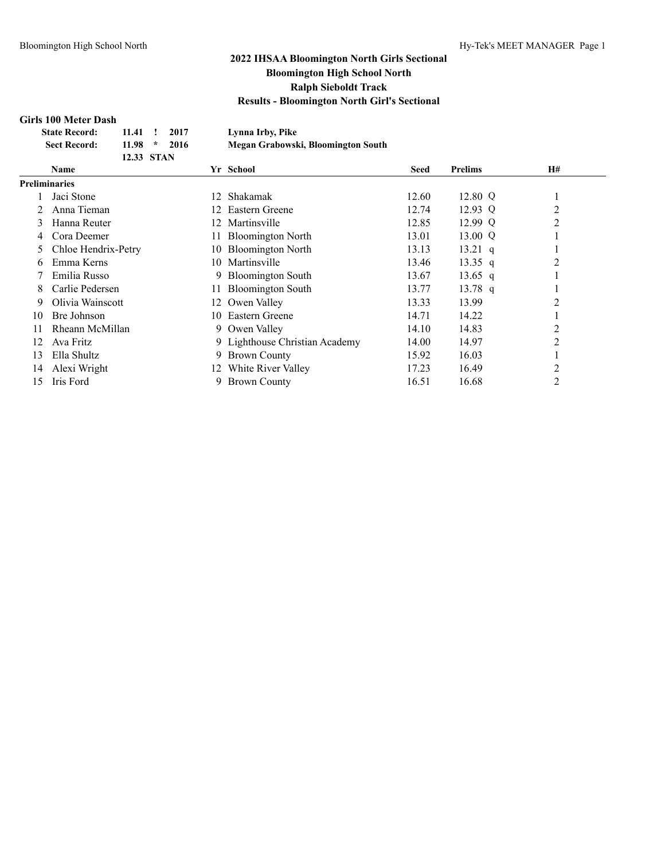### **Girls 100 Meter Dash**

|    | мнэ тоо мест разн    |            |         |      |    |                                    |       |                   |                |  |
|----|----------------------|------------|---------|------|----|------------------------------------|-------|-------------------|----------------|--|
|    | <b>State Record:</b> | 11.41      |         | 2017 |    | Lynna Irby, Pike                   |       |                   |                |  |
|    | <b>Sect Record:</b>  | 11.98      | $\star$ | 2016 |    | Megan Grabowski, Bloomington South |       |                   |                |  |
|    |                      | 12.33 STAN |         |      |    |                                    |       |                   |                |  |
|    | Name                 |            |         |      |    | Yr School                          | Seed  | <b>Prelims</b>    | H#             |  |
|    | Preliminaries        |            |         |      |    |                                    |       |                   |                |  |
|    | Jaci Stone           |            |         |      | 12 | Shakamak                           | 12.60 | 12.80 Q           |                |  |
|    | Anna Tieman          |            |         |      | 12 | Eastern Greene                     | 12.74 | $12.93 \text{ Q}$ | 2              |  |
| 3  | Hanna Reuter         |            |         |      | 12 | Martinsville                       | 12.85 | 12.99 Q           | 2              |  |
| 4  | Cora Deemer          |            |         |      |    | <b>Bloomington North</b>           | 13.01 | 13.00 Q           |                |  |
| 5  | Chloe Hendrix-Petry  |            |         |      | 10 | <b>Bloomington North</b>           | 13.13 | $13.21$ q         |                |  |
| 6  | Emma Kerns           |            |         |      |    | 10 Martinsville                    | 13.46 | 13.35 q           | 2              |  |
|    | Emilia Russo         |            |         |      | 9. | <b>Bloomington South</b>           | 13.67 | 13.65 q           |                |  |
| 8  | Carlie Pedersen      |            |         |      | 11 | <b>Bloomington South</b>           | 13.77 | $13.78$ q         |                |  |
| 9  | Olivia Wainscott     |            |         |      | 12 | Owen Valley                        | 13.33 | 13.99             | 2              |  |
| 10 | Bre Johnson          |            |         |      | 10 | Eastern Greene                     | 14.71 | 14.22             |                |  |
| 11 | Rheann McMillan      |            |         |      | 9. | Owen Valley                        | 14.10 | 14.83             | 2              |  |
| 12 | Ava Fritz            |            |         |      |    | 9 Lighthouse Christian Academy     | 14.00 | 14.97             | 2              |  |
| 13 | Ella Shultz          |            |         |      | 9. | <b>Brown County</b>                | 15.92 | 16.03             | 1              |  |
| 14 | Alexi Wright         |            |         |      | 12 | White River Valley                 | 17.23 | 16.49             | $\overline{c}$ |  |
| 15 | Iris Ford            |            |         |      | 9. | <b>Brown County</b>                | 16.51 | 16.68             | 2              |  |
|    |                      |            |         |      |    |                                    |       |                   |                |  |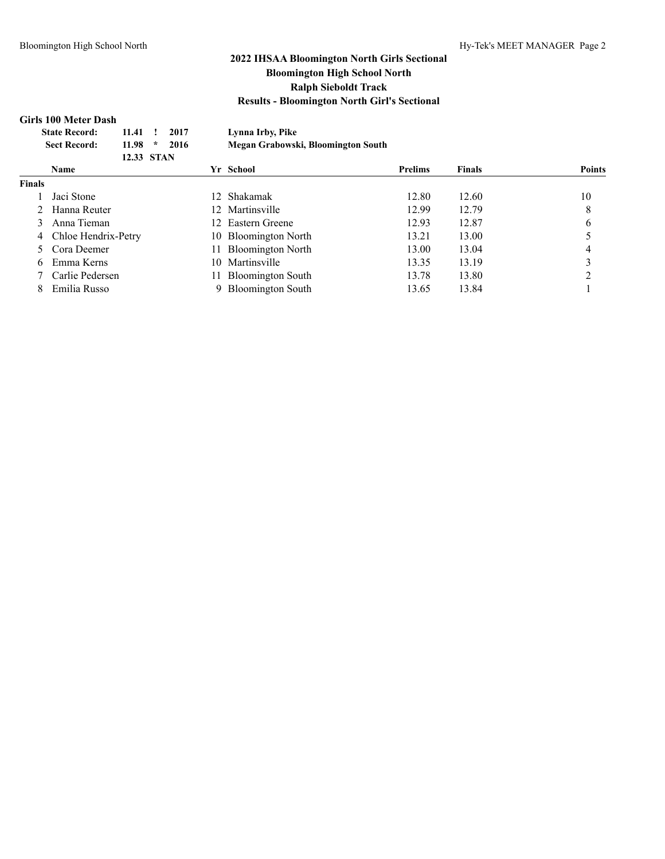### **Girls 100 Meter Dash**

| <b>State Record:</b><br>2017<br>11.41<br>11.98<br>2016<br><b>Sect Record:</b><br>* |  |                                                                                                          | Lynna Irby, Pike |            |                          |                                                                                                     |                                    |               |
|------------------------------------------------------------------------------------|--|----------------------------------------------------------------------------------------------------------|------------------|------------|--------------------------|-----------------------------------------------------------------------------------------------------|------------------------------------|---------------|
|                                                                                    |  |                                                                                                          |                  |            |                          |                                                                                                     |                                    |               |
|                                                                                    |  |                                                                                                          |                  |            |                          |                                                                                                     |                                    |               |
| <b>Name</b>                                                                        |  |                                                                                                          |                  |            |                          | <b>Prelims</b>                                                                                      | <b>Finals</b>                      | <b>Points</b> |
| <b>Finals</b>                                                                      |  |                                                                                                          |                  |            |                          |                                                                                                     |                                    |               |
| Jaci Stone                                                                         |  |                                                                                                          |                  |            | Shakamak                 | 12.80                                                                                               | 12.60                              | 10            |
|                                                                                    |  |                                                                                                          |                  |            |                          | 12.99                                                                                               | 12.79                              | 8             |
| 3                                                                                  |  |                                                                                                          |                  |            |                          | 12.93                                                                                               | 12.87                              | 6             |
|                                                                                    |  |                                                                                                          |                  |            |                          | 13.21                                                                                               | 13.00                              |               |
|                                                                                    |  |                                                                                                          |                  |            | <b>Bloomington North</b> | 13.00                                                                                               | 13.04                              | 4             |
| Emma Kerns<br>6                                                                    |  |                                                                                                          |                  |            | Martinsville             | 13.35                                                                                               | 13.19                              | 3             |
|                                                                                    |  |                                                                                                          |                  |            | <b>Bloomington South</b> | 13.78                                                                                               | 13.80                              | ◠             |
|                                                                                    |  |                                                                                                          |                  |            | <b>Bloomington South</b> | 13.65                                                                                               | 13.84                              |               |
|                                                                                    |  | 2 Hanna Reuter<br>Anna Tieman<br>4 Chloe Hendrix-Petry<br>Cora Deemer<br>Carlie Pedersen<br>Emilia Russo |                  | 12.33 STAN | 11.                      | Yr School<br>12<br>12 Martinsville<br>12 Eastern Greene<br>10 Bloomington North<br>10.<br>11.<br>9. | Megan Grabowski, Bloomington South |               |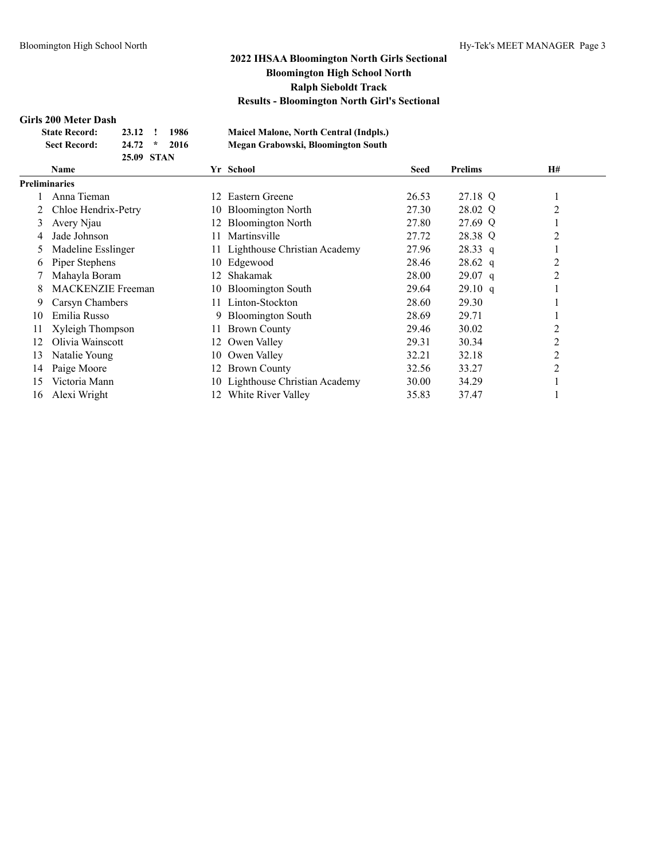### **Girls 200 Meter Dash**

| <b>State Record:</b> | 23.12 !    | 1986 | <b>Maicel Malone, North Central (Indpls.)</b> |
|----------------------|------------|------|-----------------------------------------------|
| <b>Sect Record:</b>  | $24.72$ *  | 2016 | Megan Grabowski, Bloomington South            |
|                      | 25.09 STAN |      |                                               |

| <b>Maicel Malone, North Central (Indpls.)</b> |  |
|-----------------------------------------------|--|
| Megan Grabowski, Bloomington South            |  |

|    | Name                     |     | Yr School                       | <b>Seed</b> | <b>Prelims</b> | H#             |
|----|--------------------------|-----|---------------------------------|-------------|----------------|----------------|
|    | <b>Preliminaries</b>     |     |                                 |             |                |                |
|    | Anna Tieman              | 12  | Eastern Greene                  | 26.53       | 27.18 Q        |                |
|    | Chloe Hendrix-Petry      | 10. | <b>Bloomington North</b>        | 27.30       | 28.02 Q        | $\overline{2}$ |
| 3  | Avery Njau               | 12. | <b>Bloomington North</b>        | 27.80       | 27.69 Q        |                |
| 4  | Jade Johnson             |     | Martinsville                    | 27.72       | 28.38 Q        | 2              |
| 5  | Madeline Esslinger       |     | 11 Lighthouse Christian Academy | 27.96       | 28.33 q        |                |
| 6  | Piper Stephens           |     | 10 Edgewood                     | 28.46       | $28.62$ q      | 2              |
|    | Mahayla Boram            | 12  | Shakamak                        | 28.00       | $29.07$ q      | 2              |
| 8  | <b>MACKENZIE</b> Freeman |     | 10 Bloomington South            | 29.64       | 29.10 q        |                |
| 9  | Carsyn Chambers          |     | Linton-Stockton                 | 28.60       | 29.30          |                |
| 10 | Emilia Russo             | 9.  | <b>Bloomington South</b>        | 28.69       | 29.71          |                |
| 11 | Xyleigh Thompson         |     | <b>Brown County</b>             | 29.46       | 30.02          | 2              |
| 12 | Olivia Wainscott         | 12  | Owen Valley                     | 29.31       | 30.34          | $\overline{2}$ |
| 13 | Natalie Young            | 10  | Owen Valley                     | 32.21       | 32.18          | 2              |
| 14 | Paige Moore              |     | 12 Brown County                 | 32.56       | 33.27          | $\overline{2}$ |
| 15 | Victoria Mann            |     | 10 Lighthouse Christian Academy | 30.00       | 34.29          |                |
| 16 | Alexi Wright             | 12. | White River Valley              | 35.83       | 37.47          |                |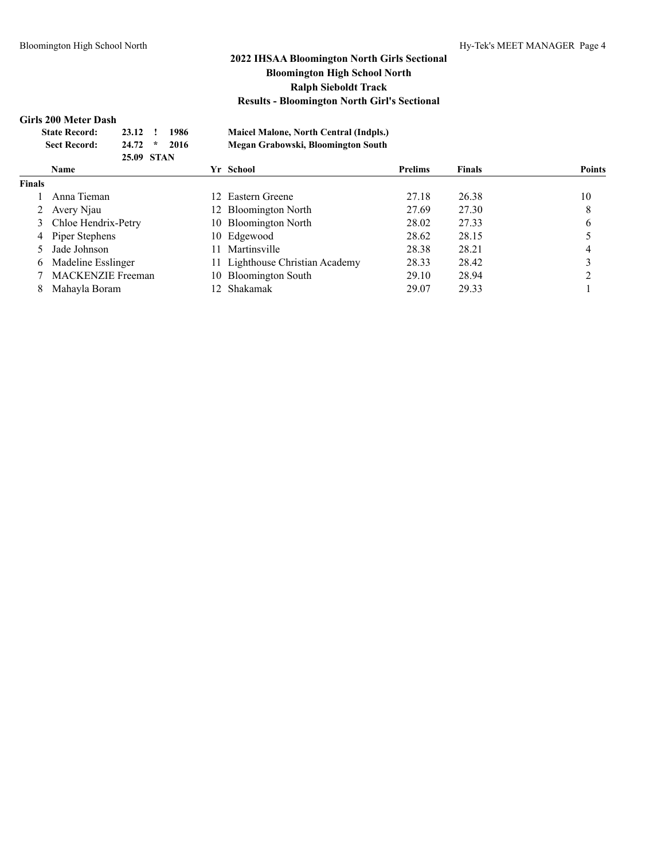#### **Girls 200 Meter Dash**

|               | <b>State Record:</b><br><b>Sect Record:</b> | 23.12<br>24.72<br>25.09 STAN | $\star$ | 1986<br>2016 |     | <b>Maicel Malone, North Central (Indpls.)</b><br>Megan Grabowski, Bloomington South |                |               |               |
|---------------|---------------------------------------------|------------------------------|---------|--------------|-----|-------------------------------------------------------------------------------------|----------------|---------------|---------------|
|               | <b>Name</b>                                 |                              |         |              |     | Yr School                                                                           | <b>Prelims</b> | <b>Finals</b> | <b>Points</b> |
| <b>Finals</b> |                                             |                              |         |              |     |                                                                                     |                |               |               |
|               | Anna Tieman                                 |                              |         |              |     | 12 Eastern Greene                                                                   | 27.18          | 26.38         | 10            |
| 2             | Avery Njau                                  |                              |         |              |     | 12 Bloomington North                                                                | 27.69          | 27.30         | 8             |
|               | 3 Chloe Hendrix-Petry                       |                              |         |              |     | 10 Bloomington North                                                                | 28.02          | 27.33         | 6             |
| 4             | Piper Stephens                              |                              |         |              |     | 10 Edgewood                                                                         | 28.62          | 28.15         |               |
|               | Jade Johnson                                |                              |         |              |     | Martinsville                                                                        | 28.38          | 28.21         | 4             |
| 6             | Madeline Esslinger                          |                              |         |              |     | 11 Lighthouse Christian Academy                                                     | 28.33          | 28.42         |               |
|               | <b>MACKENZIE Freeman</b>                    |                              |         |              | 10. | <b>Bloomington South</b>                                                            | 29.10          | 28.94         |               |
| 8             | Mahayla Boram                               |                              |         |              |     | Shakamak                                                                            | 29.07          | 29.33         |               |
|               |                                             |                              |         |              |     |                                                                                     |                |               |               |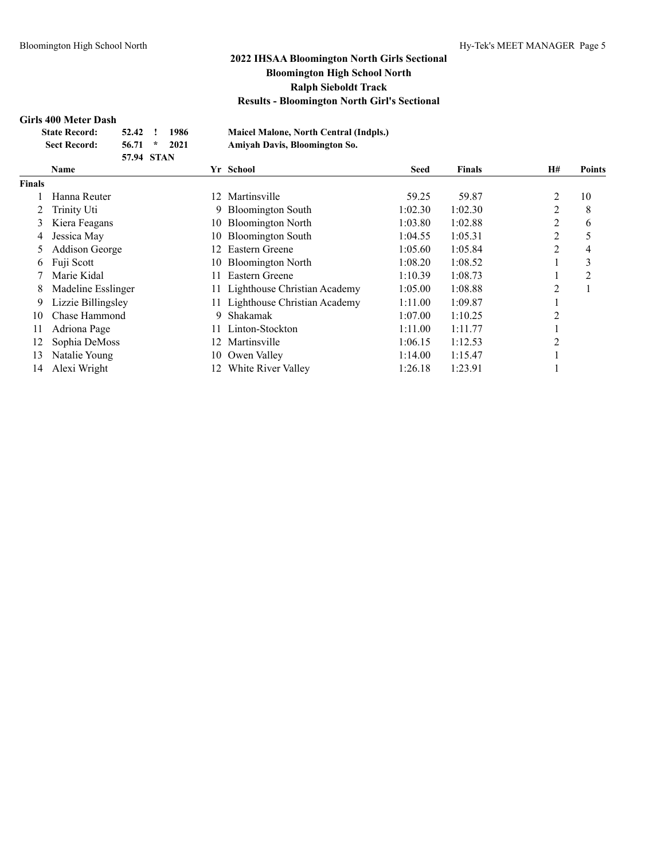### **Girls 400 Meter Dash**

| в юстеми разн        |                |              |
|----------------------|----------------|--------------|
| <b>State Record:</b> |                | 52.42 ! 1986 |
| <b>Sect Record:</b>  | $56.71 * 2021$ |              |
|                      | 57.94 STAN     |              |

**State Record: 52.42 ! 1986 Maicel Malone, North Central (Indpls.) Sect Record: 56.71 \* 2021 Amiyah Davis, Bloomington So.**

|        | <b>Name</b>           |     | Yr School                       | <b>Seed</b> | <b>Finals</b> | <b>H#</b>      | Points |
|--------|-----------------------|-----|---------------------------------|-------------|---------------|----------------|--------|
| Finals |                       |     |                                 |             |               |                |        |
|        | Hanna Reuter          | 12. | Martinsville                    | 59.25       | 59.87         | $\overline{c}$ | 10     |
|        | Trinity Uti           | 9.  | <b>Bloomington South</b>        | 1:02.30     | 1:02.30       | $\overline{2}$ | 8      |
| 3      | Kiera Feagans         | 10- | <b>Bloomington North</b>        | 1:03.80     | 1:02.88       | 2              | 6      |
| 4      | Jessica May           | 10- | <b>Bloomington South</b>        | 1:04.55     | 1:05.31       | 2              | 5      |
| 5      | <b>Addison George</b> | 12. | Eastern Greene                  | 1:05.60     | 1:05.84       | 2              | 4      |
| 6      | Fuji Scott            | 10  | <b>Bloomington North</b>        | 1:08.20     | 1:08.52       |                | 3      |
|        | Marie Kidal           | 11  | <b>Eastern Greene</b>           | 1:10.39     | 1:08.73       |                | 2      |
| 8      | Madeline Esslinger    |     | 11 Lighthouse Christian Academy | 1:05.00     | 1:08.88       | 2              |        |
| 9      | Lizzie Billingsley    |     | 11 Lighthouse Christian Academy | 1:11.00     | 1:09.87       |                |        |
| 10     | Chase Hammond         | 9   | Shakamak                        | 1:07.00     | 1:10.25       | 2              |        |
| 11     | Adriona Page          |     | Linton-Stockton                 | 1:11.00     | 1:11.77       |                |        |
| 12     | Sophia DeMoss         | 12. | Martinsville                    | 1:06.15     | 1:12.53       | 2              |        |
| 13     | Natalie Young         | 10  | Owen Valley                     | 1:14.00     | 1:15.47       |                |        |
| 14     | Alexi Wright          | 12  | White River Valley              | 1:26.18     | 1:23.91       |                |        |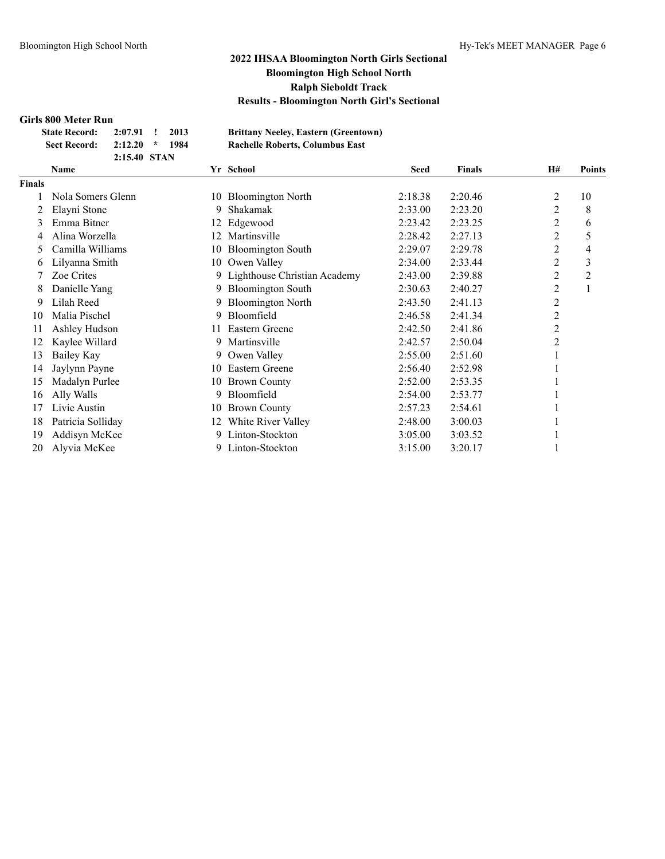### **Girls 800 Meter Run**

| State Record: 2:07.91 ! 2013 |                  |  |  |
|------------------------------|------------------|--|--|
| Sect Record:                 | $2:12.20$ * 1984 |  |  |
|                              | 2:15.40 STAN     |  |  |

**State Record: 2:07.91 ! 2013 Brittany Neeley, Eastern (Greentown) Sect Record: 2:12.20 \* 1984 Rachelle Roberts, Columbus East**

|               | Name              |     | Yr School                      | <b>Seed</b> | <b>Finals</b> | <b>H#</b>      | <b>Points</b>  |
|---------------|-------------------|-----|--------------------------------|-------------|---------------|----------------|----------------|
| <b>Finals</b> |                   |     |                                |             |               |                |                |
|               | Nola Somers Glenn | 10  | <b>Bloomington North</b>       | 2:18.38     | 2:20.46       | 2              | 10             |
|               | Elayni Stone      | 9   | Shakamak                       | 2:33.00     | 2:23.20       | 2              | 8              |
| 3             | Emma Bitner       | 12  | Edgewood                       | 2:23.42     | 2:23.25       | 2              | 6              |
|               | Alina Worzella    |     | Martinsville                   | 2:28.42     | 2:27.13       | 2              | 5              |
| 5             | Camilla Williams  | 10  | <b>Bloomington South</b>       | 2:29.07     | 2:29.78       | $\overline{c}$ | 4              |
| 6             | Lilyanna Smith    | 10  | Owen Valley                    | 2:34.00     | 2:33.44       | 2              | 3              |
|               | Zoe Crites        |     | 9 Lighthouse Christian Academy | 2:43.00     | 2:39.88       | $\overline{c}$ | $\overline{2}$ |
| 8             | Danielle Yang     | 9   | <b>Bloomington South</b>       | 2:30.63     | 2:40.27       | 2              |                |
| 9             | Lilah Reed        |     | <b>Bloomington North</b>       | 2:43.50     | 2:41.13       | $\overline{c}$ |                |
| 10            | Malia Pischel     | 9   | Bloomfield                     | 2:46.58     | 2:41.34       | 2              |                |
| 11            | Ashley Hudson     | 11  | Eastern Greene                 | 2:42.50     | 2:41.86       | 2              |                |
| 12            | Kaylee Willard    | 9   | Martinsville                   | 2:42.57     | 2:50.04       | 2              |                |
| 13            | <b>Bailey Kay</b> | 9.  | Owen Valley                    | 2:55.00     | 2:51.60       |                |                |
| 14            | Jaylynn Payne     | 10. | Eastern Greene                 | 2:56.40     | 2:52.98       |                |                |
| 15            | Madalyn Purlee    | 10  | <b>Brown County</b>            | 2:52.00     | 2:53.35       |                |                |
| 16            | Ally Walls        | 9   | Bloomfield                     | 2:54.00     | 2:53.77       |                |                |
| 17            | Livie Austin      | 10  | <b>Brown County</b>            | 2:57.23     | 2:54.61       |                |                |
| 18            | Patricia Solliday | 12. | White River Valley             | 2:48.00     | 3:00.03       |                |                |
| 19            | Addisyn McKee     | 9   | Linton-Stockton                | 3:05.00     | 3:03.52       |                |                |
| 20            | Alyvia McKee      | 9   | Linton-Stockton                | 3:15.00     | 3:20.17       |                |                |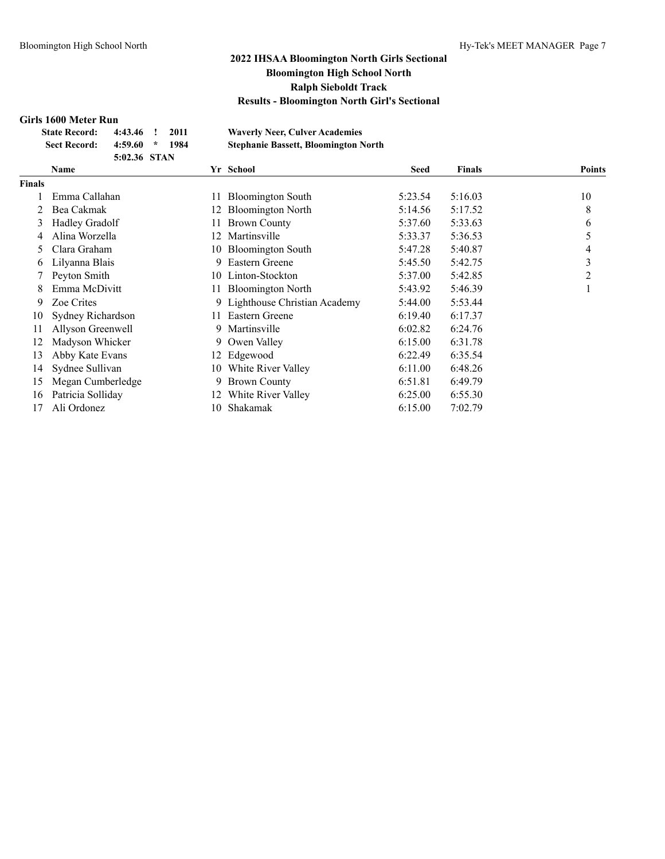### **Girls 1600 Meter Run**

| эн 19 тооо 11тсан тайн |              |      |                                             |
|------------------------|--------------|------|---------------------------------------------|
| <b>State Record:</b>   | $4:43.46$ !  | 2011 | <b>Waverly Neer, Culver Academies</b>       |
| <b>Sect Record:</b>    | $4:59.60$ *  | 1984 | <b>Stephanie Bassett, Bloomington North</b> |
|                        | 5:02.36 STAN |      |                                             |

|               | Name              |     | Yr School                      | <b>Seed</b> | <b>Finals</b> | <b>Points</b> |
|---------------|-------------------|-----|--------------------------------|-------------|---------------|---------------|
| <b>Finals</b> |                   |     |                                |             |               |               |
|               | Emma Callahan     | 11  | <b>Bloomington South</b>       | 5:23.54     | 5:16.03       | 10            |
|               | Bea Cakmak        | 12  | <b>Bloomington North</b>       | 5:14.56     | 5:17.52       | 8             |
| 3             | Hadley Gradolf    |     | <b>Brown County</b>            | 5:37.60     | 5:33.63       | 6             |
| 4             | Alina Worzella    | 12  | Martinsville                   | 5:33.37     | 5:36.53       | 5             |
| 5             | Clara Graham      |     | 10 Bloomington South           | 5:47.28     | 5:40.87       | 4             |
| 6             | Lilyanna Blais    | 9   | Eastern Greene                 | 5:45.50     | 5:42.75       | 3             |
|               | Peyton Smith      | 10  | Linton-Stockton                | 5:37.00     | 5:42.85       | 2             |
| 8             | Emma McDivitt     | 11  | <b>Bloomington North</b>       | 5:43.92     | 5:46.39       |               |
| 9             | Zoe Crites        |     | 9 Lighthouse Christian Academy | 5:44.00     | 5:53.44       |               |
| 10            | Sydney Richardson | 11  | Eastern Greene                 | 6:19.40     | 6:17.37       |               |
| 11            | Allyson Greenwell | 9   | Martinsville                   | 6:02.82     | 6:24.76       |               |
| 12            | Madyson Whicker   | 9   | Owen Valley                    | 6:15.00     | 6:31.78       |               |
| 13            | Abby Kate Evans   |     | 12 Edgewood                    | 6:22.49     | 6:35.54       |               |
| 14            | Sydnee Sullivan   | 10  | White River Valley             | 6:11.00     | 6:48.26       |               |
| 15            | Megan Cumberledge | 9   | <b>Brown County</b>            | 6:51.81     | 6:49.79       |               |
| 16            | Patricia Solliday | 12. | White River Valley             | 6:25.00     | 6:55.30       |               |
| 17            | Ali Ordonez       | 10  | Shakamak                       | 6:15.00     | 7:02.79       |               |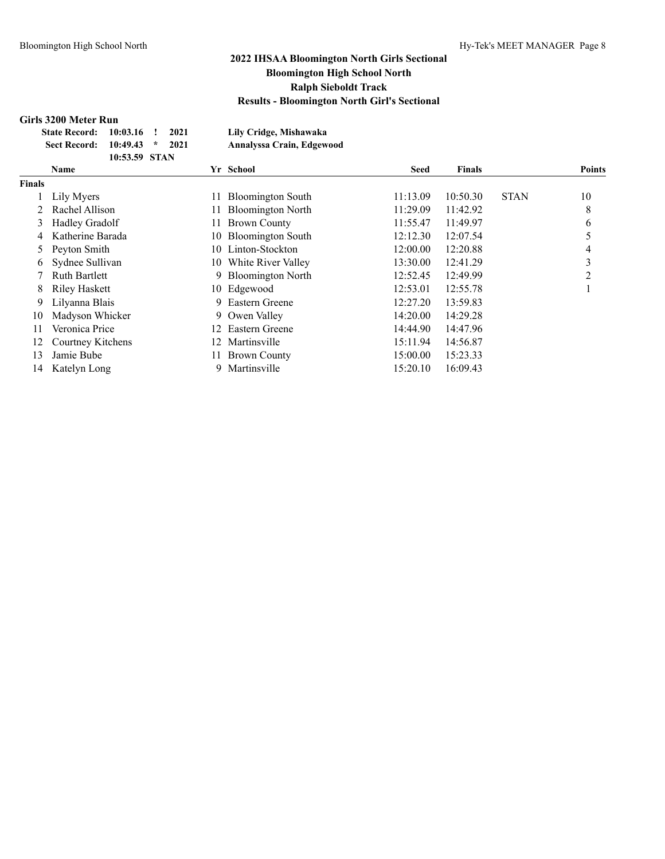### **Girls 3200 Meter Run**

|               | <b>State Record:</b>               | 10:03.16      |        | 2021 |     | Lily Cridge, Mishawaka                                                |             |               |             |        |
|---------------|------------------------------------|---------------|--------|------|-----|-----------------------------------------------------------------------|-------------|---------------|-------------|--------|
|               | <b>Sect Record:</b>                | 10:49.43      | $\ast$ | 2021 |     | Annalyssa Crain, Edgewood                                             |             |               |             |        |
|               |                                    | 10:53.59 STAN |        |      |     |                                                                       |             |               |             |        |
|               | <b>Name</b>                        |               |        |      |     | Yr School                                                             | <b>Seed</b> | <b>Finals</b> |             | Points |
| <b>Finals</b> |                                    |               |        |      |     |                                                                       |             |               |             |        |
|               | Lily Myers                         |               |        |      | 11. | <b>Bloomington South</b>                                              | 11:13.09    | 10:50.30      | <b>STAN</b> | 10     |
|               | 2 Rachel Allison                   |               |        |      | 11. | <b>Bloomington North</b>                                              | 11:29.09    | 11:42.92      |             | 8      |
|               | 3 Hadley Gradolf                   |               |        |      | 11. | <b>Brown County</b>                                                   | 11:55.47    | 11:49.97      |             | 6      |
|               | 4 Katherine Barada                 |               |        |      |     | 10 Bloomington South                                                  | 12:12.30    | 12:07.54      |             |        |
|               | 5 Peyton Smith                     |               |        |      |     | 10 Linton-Stockton                                                    | 12:00.00    | 12:20.88      |             | 4      |
|               | $\epsilon$ $\alpha$ 1 $\alpha$ 11' |               |        |      |     | $\mathbf{10}$ $\mathbf{11}$ $\mathbf{12}$ $\mathbf{13}$ $\mathbf{14}$ | 1.2.2.0.0   | 10.1100       |             | $\sim$ |

| іаіэ |                      |    |                       |          |          |             |    |
|------|----------------------|----|-----------------------|----------|----------|-------------|----|
|      | Lily Myers           |    | 11 Bloomington South  | 11:13.09 | 10:50.30 | <b>STAN</b> | 10 |
|      | Rachel Allison       |    | 11 Bloomington North  | 11:29.09 | 11:42.92 |             | 8  |
| 3    | Hadley Gradolf       |    | 11 Brown County       | 11:55.47 | 11:49.97 |             | 6  |
| 4    | Katherine Barada     |    | 10 Bloomington South  | 12:12.30 | 12:07.54 |             |    |
|      | Peyton Smith         |    | 10 Linton-Stockton    | 12:00.00 | 12:20.88 |             | 4  |
|      | 6 Sydnee Sullivan    |    | 10 White River Valley | 13:30.00 | 12:41.29 |             | 3  |
|      | <b>Ruth Bartlett</b> |    | 9 Bloomington North   | 12:52.45 | 12:49.99 |             | 2  |
| 8    | Riley Haskett        |    | 10 Edgewood           | 12:53.01 | 12:55.78 |             |    |
| 9    | Lilyanna Blais       | 9. | Eastern Greene        | 12:27.20 | 13:59.83 |             |    |
| 10   | Madyson Whicker      |    | 9 Owen Valley         | 14:20.00 | 14:29.28 |             |    |
| 11   | Veronica Price       |    | 12 Eastern Greene     | 14:44.90 | 14:47.96 |             |    |
| 12   | Courtney Kitchens    | 12 | Martinsville          | 15:11.94 | 14:56.87 |             |    |
| 13   | Jamie Bube           |    | 11 Brown County       | 15:00.00 | 15:23.33 |             |    |
|      | 14 Katelyn Long      |    | Martinsville          | 15:20.10 | 16:09.43 |             |    |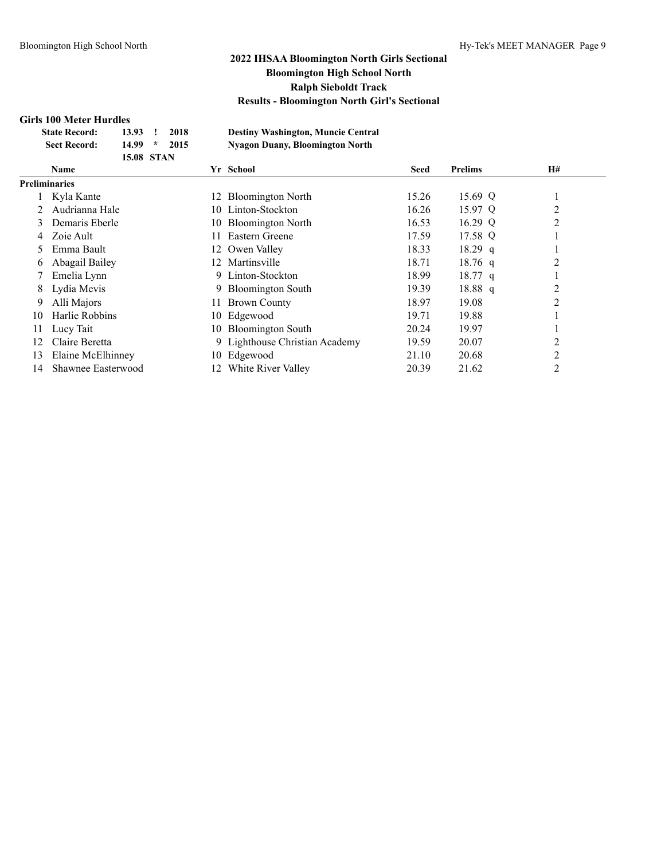### **Girls 100 Meter Hurdles**

| <b>SHIS TOO MELET HULGES</b> |                          |                                           |
|------------------------------|--------------------------|-------------------------------------------|
| <b>State Record:</b>         | 2018<br>13.93            | <b>Destiny Washington, Muncie Central</b> |
| <b>Sect Record:</b>          | $\star$<br>14.99<br>2015 | <b>Nyagon Duany, Bloomington North</b>    |
|                              | <b>15.08 STAN</b>        |                                           |

|               | <b>Name</b>        |     | Yr School                      | <b>Seed</b> | <b>Prelims</b> | <b>H#</b>      |  |
|---------------|--------------------|-----|--------------------------------|-------------|----------------|----------------|--|
| Preliminaries |                    |     |                                |             |                |                |  |
|               | Kyla Kante         | 12  | <b>Bloomington North</b>       | 15.26       | 15.69 Q        |                |  |
|               | Audrianna Hale     | 10. | Linton-Stockton                | 16.26       | 15.97 Q        | $\overline{c}$ |  |
| 3             | Demaris Eberle     |     | 10 Bloomington North           | 16.53       | 16.29 Q        | $\overline{2}$ |  |
| 4             | Zoie Ault          | Ħ   | Eastern Greene                 | 17.59       | 17.58 Q        |                |  |
|               | Emma Bault         |     | 12 Owen Valley                 | 18.33       | $18.29$ q      |                |  |
| 6             | Abagail Bailey     | 12. | Martinsville                   | 18.71       | $18.76$ q      | 2              |  |
|               | Emelia Lynn        | 9.  | Linton-Stockton                | 18.99       | $18.77$ q      |                |  |
| 8             | Lydia Mevis        | 9.  | <b>Bloomington South</b>       | 19.39       | $18.88\ q$     | 2              |  |
| 9             | Alli Majors        | 11. | <b>Brown County</b>            | 18.97       | 19.08          | 2              |  |
| 10            | Harlie Robbins     | 10- | Edgewood                       | 19.71       | 19.88          |                |  |
| 11            | Lucy Tait          | 10- | <b>Bloomington South</b>       | 20.24       | 19.97          |                |  |
| 12            | Claire Beretta     |     | 9 Lighthouse Christian Academy | 19.59       | 20.07          | 2              |  |
| 13            | Elaine McElhinney  | 10- | Edgewood                       | 21.10       | 20.68          | 2              |  |
| 14            | Shawnee Easterwood | 12. | White River Valley             | 20.39       | 21.62          | 2              |  |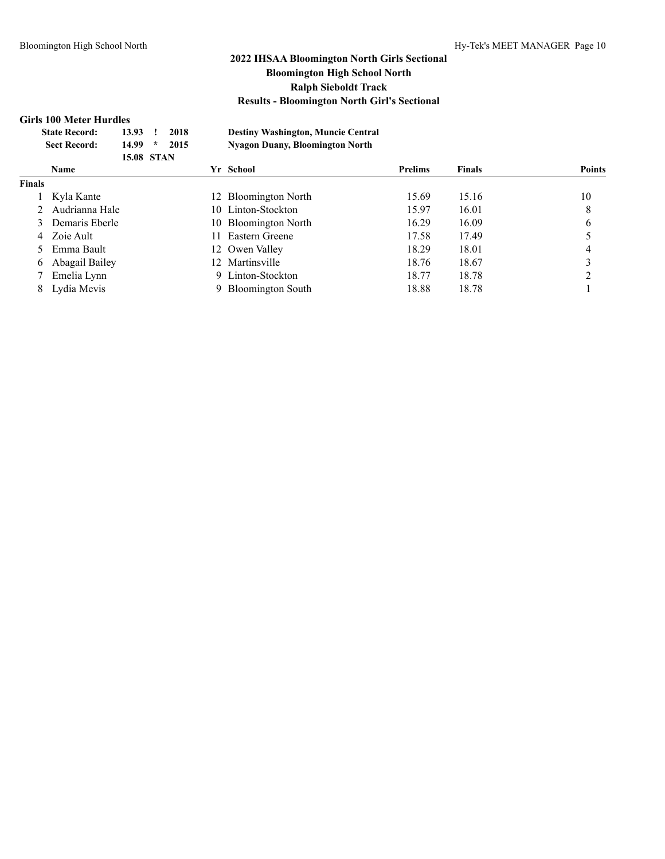### **Girls 100 Meter Hurdles**

|        | <b>State Record:</b><br><b>Sect Record:</b> | 13.93<br>14.99<br><b>15.08 STAN</b> | $\ast$ | 2018<br>2015 |     | <b>Destiny Washington, Muncie Central</b><br><b>Nyagon Duany, Bloomington North</b> |                |               |               |
|--------|---------------------------------------------|-------------------------------------|--------|--------------|-----|-------------------------------------------------------------------------------------|----------------|---------------|---------------|
|        | <b>Name</b>                                 |                                     |        |              |     | Yr School                                                                           | <b>Prelims</b> | <b>Finals</b> | <b>Points</b> |
| Finals |                                             |                                     |        |              |     |                                                                                     |                |               |               |
|        | Kyla Kante                                  |                                     |        |              |     | 12 Bloomington North                                                                | 15.69          | 15.16         | 10            |
|        | Audrianna Hale                              |                                     |        |              |     | 10 Linton-Stockton                                                                  | 15.97          | 16.01         | 8             |
|        | Demaris Eberle                              |                                     |        |              |     | 10 Bloomington North                                                                | 16.29          | 16.09         | 6             |
| 4      | Zoie Ault                                   |                                     |        |              |     | Eastern Greene                                                                      | 17.58          | 17.49         |               |
|        | Emma Bault                                  |                                     |        |              |     | 12 Owen Valley                                                                      | 18.29          | 18.01         | 4             |
| 6      | Abagail Bailey                              |                                     |        |              | 12. | Martinsville                                                                        | 18.76          | 18.67         |               |
|        | Emelia Lynn                                 |                                     |        |              |     | 9 Linton-Stockton                                                                   | 18.77          | 18.78         | ↑             |
| 8      | Lydia Mevis                                 |                                     |        |              |     | <b>Bloomington South</b>                                                            | 18.88          | 18.78         |               |
|        |                                             |                                     |        |              |     |                                                                                     |                |               |               |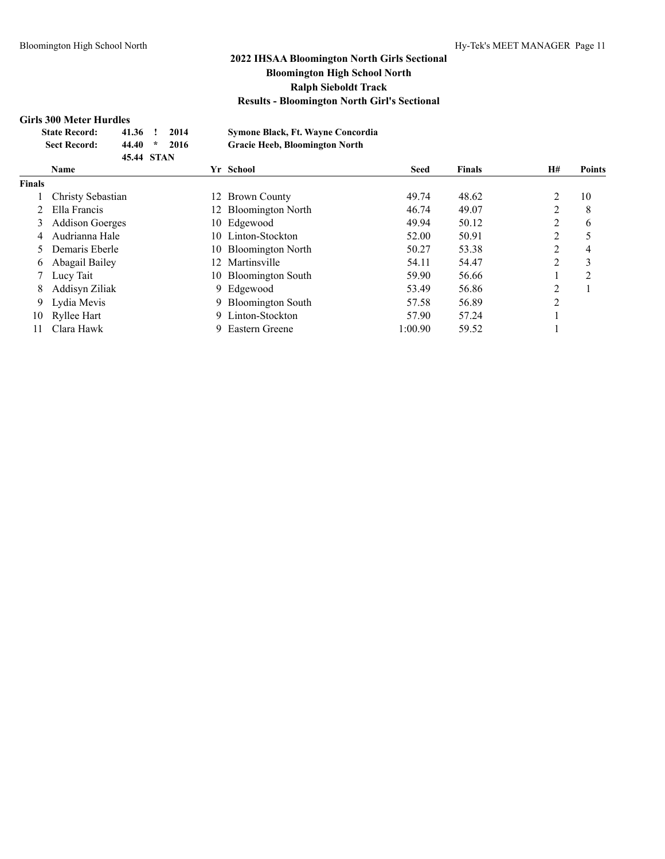### **Girls 300 Meter Hurdles**

|               | <b>State Record:</b><br><b>Sect Record:</b> | 41.36<br>44.40<br>45.44 STAN | $^{\ast}$ | 2014<br>2016 |    | Symone Black, Ft. Wayne Concordia<br><b>Gracie Heeb, Bloomington North</b> |             |               |                |                |
|---------------|---------------------------------------------|------------------------------|-----------|--------------|----|----------------------------------------------------------------------------|-------------|---------------|----------------|----------------|
|               | <b>Name</b>                                 |                              |           |              |    | Yr School                                                                  | <b>Seed</b> | <b>Finals</b> | <b>H#</b>      | <b>Points</b>  |
| <b>Finals</b> |                                             |                              |           |              |    |                                                                            |             |               |                |                |
|               | Christy Sebastian                           |                              |           |              |    | 12 Brown County                                                            | 49.74       | 48.62         | 2              | 10             |
|               | Ella Francis                                |                              |           |              | 12 | <b>Bloomington North</b>                                                   | 46.74       | 49.07         | $\overline{2}$ | 8              |
| 3             | <b>Addison Goerges</b>                      |                              |           |              | 10 | Edgewood                                                                   | 49.94       | 50.12         | 2              | 6              |
| 4             | Audrianna Hale                              |                              |           |              |    | 10 Linton-Stockton                                                         | 52.00       | 50.91         | 2              |                |
|               | Demaris Eberle                              |                              |           |              |    | 10 Bloomington North                                                       | 50.27       | 53.38         | 2              | 4              |
| 6.            | Abagail Bailey                              |                              |           |              | 12 | Martinsville                                                               | 54.11       | 54.47         | 2              | 3              |
|               | Lucy Tait                                   |                              |           |              |    | 10 Bloomington South                                                       | 59.90       | 56.66         |                | $\overline{c}$ |
| 8             | Addisyn Ziliak                              |                              |           |              | 9. | Edgewood                                                                   | 53.49       | 56.86         | 2              |                |
| 9             | Lydia Mevis                                 |                              |           |              |    | 9 Bloomington South                                                        | 57.58       | 56.89         | $\overline{2}$ |                |
| 10            | Ryllee Hart                                 |                              |           |              |    | 9 Linton-Stockton                                                          | 57.90       | 57.24         |                |                |
| 11            | Clara Hawk                                  |                              |           |              | 9  | Eastern Greene                                                             | 1:00.90     | 59.52         |                |                |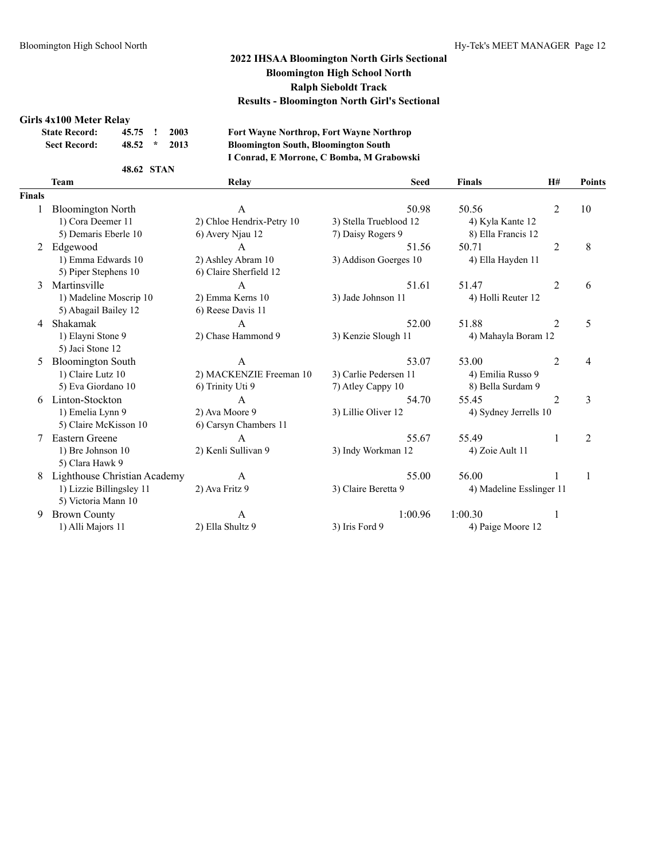#### **Girls 4x100 Meter Relay**

| <b>State Record:</b> | 45.75 ! 2003 |               |      |  |
|----------------------|--------------|---------------|------|--|
| <b>Sect Record:</b>  | 48.52        | $\mathcal{R}$ | 2013 |  |

**State Record: 45.75 ! 2003 Fort Wayne Northrop, Fort Wayne Northrop Sect Record: 48.52 \* 2013 Bloomington South, Bloomington South I Conrad, E Morrone, C Bomba, M Grabowski**

#### **48.62 STAN**

|               | <b>Team</b>                  | Relay                     | <b>Seed</b>            | <b>Finals</b>            | H#             | Points         |
|---------------|------------------------------|---------------------------|------------------------|--------------------------|----------------|----------------|
| <b>Finals</b> |                              |                           |                        |                          |                |                |
|               | <b>Bloomington North</b>     | A                         | 50.98                  | 50.56                    | $\overline{2}$ | 10             |
|               | 1) Cora Deemer 11            | 2) Chloe Hendrix-Petry 10 | 3) Stella Trueblood 12 | 4) Kyla Kante 12         |                |                |
|               | 5) Demaris Eberle 10         | 6) Avery Njau 12          | 7) Daisy Rogers 9      | 8) Ella Francis 12       |                |                |
| 2             | Edgewood                     | A                         | 51.56                  | 50.71                    | $\overline{2}$ | 8              |
|               | 1) Emma Edwards 10           | 2) Ashley Abram 10        | 3) Addison Goerges 10  | 4) Ella Hayden 11        |                |                |
|               | 5) Piper Stephens 10         | 6) Claire Sherfield 12    |                        |                          |                |                |
| 3             | Martinsville                 | $\mathsf{A}$              | 51.61                  | 51.47                    | 2              | 6              |
|               | 1) Madeline Moscrip 10       | 2) Emma Kerns 10          | 3) Jade Johnson 11     | 4) Holli Reuter 12       |                |                |
|               | 5) Abagail Bailey 12         | 6) Reese Davis 11         |                        |                          |                |                |
| 4             | Shakamak                     | $\mathsf{A}$              | 52.00                  | 51.88                    | $\overline{2}$ | 5              |
|               | 1) Elayni Stone 9            | 2) Chase Hammond 9        | 3) Kenzie Slough 11    | 4) Mahayla Boram 12      |                |                |
|               | 5) Jaci Stone 12             |                           |                        |                          |                |                |
| 5.            | <b>Bloomington South</b>     | $\overline{A}$            | 53.07                  | 53.00                    | 2              | 4              |
|               | 1) Claire Lutz 10            | 2) MACKENZIE Freeman 10   | 3) Carlie Pedersen 11  | 4) Emilia Russo 9        |                |                |
|               | 5) Eva Giordano 10           | 6) Trinity Uti 9          | 7) Atley Cappy 10      | 8) Bella Surdam 9        |                |                |
| 6             | Linton-Stockton              | $\mathsf{A}$              | 54.70                  | 55.45                    | $\overline{2}$ | 3              |
|               | 1) Emelia Lynn 9             | 2) Ava Moore 9            | 3) Lillie Oliver 12    | 4) Sydney Jerrells 10    |                |                |
|               | 5) Claire McKisson 10        | 6) Carsyn Chambers 11     |                        |                          |                |                |
|               | <b>Eastern Greene</b>        | $\mathsf{A}$              | 55.67                  | 55.49                    | 1              | $\overline{2}$ |
|               | 1) Bre Johnson 10            | 2) Kenli Sullivan 9       | 3) Indy Workman 12     | 4) Zoie Ault 11          |                |                |
|               | 5) Clara Hawk 9              |                           |                        |                          |                |                |
| 8             | Lighthouse Christian Academy | $\mathsf{A}$              | 55.00                  | 56.00                    |                | 1              |
|               | 1) Lizzie Billingsley 11     | 2) Ava Fritz 9            | 3) Claire Beretta 9    | 4) Madeline Esslinger 11 |                |                |
|               | 5) Victoria Mann 10          |                           |                        |                          |                |                |
| 9             | <b>Brown County</b>          | A                         | 1:00.96                | 1:00.30                  | 1              |                |
|               | 1) Alli Majors 11            | 2) Ella Shultz 9          | 3) Iris Ford 9         | 4) Paige Moore 12        |                |                |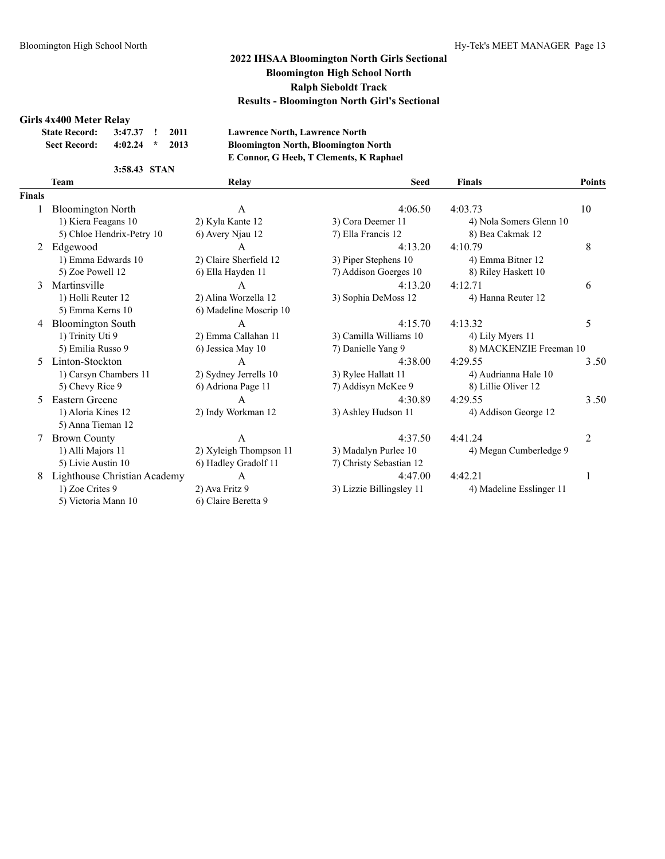#### **Girls 4x400 Meter Relay**

| <b>State Record:</b> | 3:47.37 ! 2011 |               |      |  |
|----------------------|----------------|---------------|------|--|
| <b>Sect Record:</b>  | 4:02.24        | $\mathcal{R}$ | 2013 |  |

**State Record: 3:47.37 ! 2011 Lawrence North, Lawrence North Sect Record: 4:02.24 \* 2013 Bloomington North, Bloomington North E Connor, G Heeb, T Clements, K Raphael**

#### **3:58.43 STAN**

|               | <b>Team</b>                  | Relay                  | <b>Seed</b>              | Finals                   | <b>Points</b> |
|---------------|------------------------------|------------------------|--------------------------|--------------------------|---------------|
| <b>Finals</b> |                              |                        |                          |                          |               |
|               | <b>Bloomington North</b>     | A                      | 4:06.50                  | 4:03.73                  | 10            |
|               | 1) Kiera Feagans 10          | 2) Kyla Kante 12       | 3) Cora Deemer 11        | 4) Nola Somers Glenn 10  |               |
|               | 5) Chloe Hendrix-Petry 10    | 6) Avery Njau 12       | 7) Ella Francis 12       | 8) Bea Cakmak 12         |               |
| 2             | Edgewood                     | A                      | 4:13.20                  | 4:10.79                  | 8             |
|               | 1) Emma Edwards 10           | 2) Claire Sherfield 12 | 3) Piper Stephens 10     | 4) Emma Bitner 12        |               |
|               | 5) Zoe Powell 12             | 6) Ella Hayden 11      | 7) Addison Goerges 10    | 8) Riley Haskett 10      |               |
| 3             | Martinsville                 | A                      | 4:13.20                  | 4:12.71                  | 6             |
|               | 1) Holli Reuter 12           | 2) Alina Worzella 12   | 3) Sophia DeMoss 12      | 4) Hanna Reuter 12       |               |
|               | 5) Emma Kerns 10             | 6) Madeline Moscrip 10 |                          |                          |               |
|               | <b>Bloomington South</b>     | A                      | 4:15.70                  | 4:13.32                  | 5             |
|               | 1) Trinity Uti 9             | 2) Emma Callahan 11    | 3) Camilla Williams 10   | 4) Lily Myers 11         |               |
|               | 5) Emilia Russo 9            | 6) Jessica May 10      | 7) Danielle Yang 9       | 8) MACKENZIE Freeman 10  |               |
| 5.            | Linton-Stockton              | A                      | 4:38.00                  | 4:29.55                  | 3.50          |
|               | 1) Carsyn Chambers 11        | 2) Sydney Jerrells 10  | 3) Rylee Hallatt 11      | 4) Audrianna Hale 10     |               |
|               | 5) Chevy Rice 9              | 6) Adriona Page 11     | 7) Addisyn McKee 9       | 8) Lillie Oliver 12      |               |
| 5             | Eastern Greene               | $\mathsf{A}$           | 4:30.89                  | 4:29.55                  | 3.50          |
|               | 1) Aloria Kines 12           | 2) Indy Workman 12     | 3) Ashley Hudson 11      | 4) Addison George 12     |               |
|               | 5) Anna Tieman 12            |                        |                          |                          |               |
|               | <b>Brown County</b>          | A                      | 4:37.50                  | 4:41.24                  | 2             |
|               | 1) Alli Majors 11            | 2) Xyleigh Thompson 11 | 3) Madalyn Purlee 10     | 4) Megan Cumberledge 9   |               |
|               | 5) Livie Austin 10           | 6) Hadley Gradolf 11   | 7) Christy Sebastian 12  |                          |               |
|               | Lighthouse Christian Academy | A                      | 4:47.00                  | 4:42.21                  |               |
|               | 1) Zoe Crites 9              | 2) Ava Fritz 9         | 3) Lizzie Billingsley 11 | 4) Madeline Esslinger 11 |               |
|               | 5) Victoria Mann 10          | 6) Claire Beretta 9    |                          |                          |               |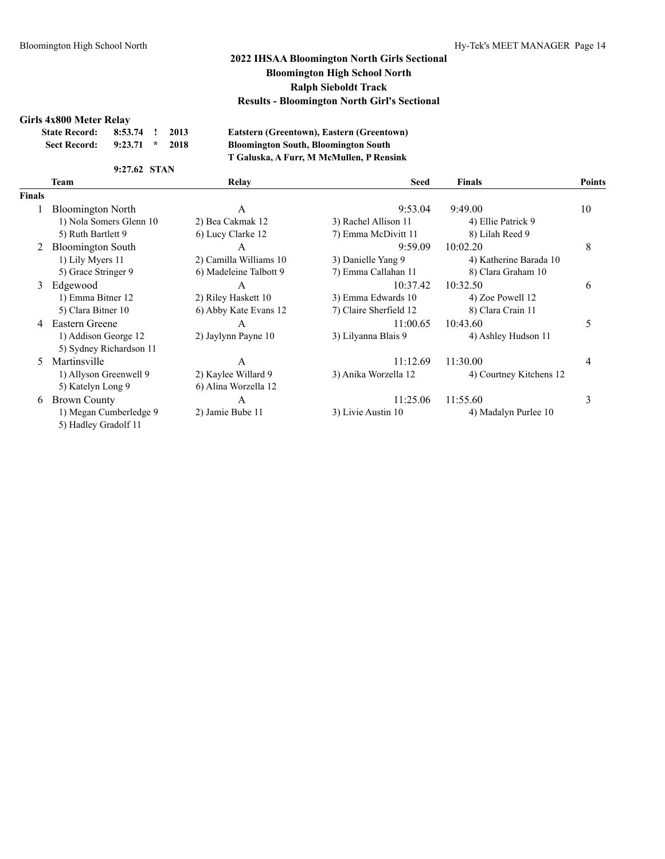#### **Girls 4x800 Meter Relay**

| <b>State Record:</b> | 8:53.74 | $\mathbf{r}$ | 2013 |
|----------------------|---------|--------------|------|
| <b>Sect Record:</b>  | 9:23.71 | $\star$      | 2018 |

 $E$ atstern (Greentown), Eastern (Greentown) **Sect Record: 9:23.71 \* 2018 Bloomington South, Bloomington South T Galuska, A Furr, M McMullen, P Rensink**

#### **9:27.62 STAN**

|                | Team                     | Relay                  | <b>Seed</b>            | <b>Finals</b>           | <b>Points</b> |
|----------------|--------------------------|------------------------|------------------------|-------------------------|---------------|
| <b>Finals</b>  |                          |                        |                        |                         |               |
|                | <b>Bloomington North</b> | A                      | 9:53.04                | 9:49.00                 | 10            |
|                | 1) Nola Somers Glenn 10  | 2) Bea Cakmak 12       | 3) Rachel Allison 11   | 4) Ellie Patrick 9      |               |
|                | 5) Ruth Bartlett 9       | 6) Lucy Clarke 12      | 7) Emma McDivitt 11    | 8) Lilah Reed 9         |               |
| 2              | <b>Bloomington South</b> | A                      | 9:59.09                | 10:02.20                | 8             |
|                | 1) Lily Myers 11         | 2) Camilla Williams 10 | 3) Danielle Yang 9     | 4) Katherine Barada 10  |               |
|                | 5) Grace Stringer 9      | 6) Madeleine Talbott 9 | 7) Emma Callahan 11    | 8) Clara Graham 10      |               |
| 3              | Edgewood                 | A                      | 10:37.42               | 10:32.50                | 6             |
|                | 1) Emma Bitner 12        | 2) Riley Haskett 10    | 3) Emma Edwards 10     | 4) Zoe Powell 12        |               |
|                | 5) Clara Bitner 10       | 6) Abby Kate Evans 12  | 7) Claire Sherfield 12 | 8) Clara Crain 11       |               |
| $\overline{4}$ | Eastern Greene           | A                      | 11:00.65               | 10:43.60                | 5             |
|                | 1) Addison George 12     | 2) Jaylynn Payne 10    | 3) Lilyanna Blais 9    | 4) Ashley Hudson 11     |               |
|                | 5) Sydney Richardson 11  |                        |                        |                         |               |
| 5.             | Martinsville             | А                      | 11:12.69               | 11:30.00                | 4             |
|                | 1) Allyson Greenwell 9   | 2) Kaylee Willard 9    | 3) Anika Worzella 12   | 4) Courtney Kitchens 12 |               |
|                | 5) Katelyn Long 9        | 6) Alina Worzella 12   |                        |                         |               |
| 6              | <b>Brown County</b>      | A                      | 11:25.06               | 11:55.60                | 3             |
|                | 1) Megan Cumberledge 9   | 2) Jamie Bube 11       | 3) Livie Austin 10     | 4) Madalyn Purlee 10    |               |
|                | 5) Hadley Gradolf 11     |                        |                        |                         |               |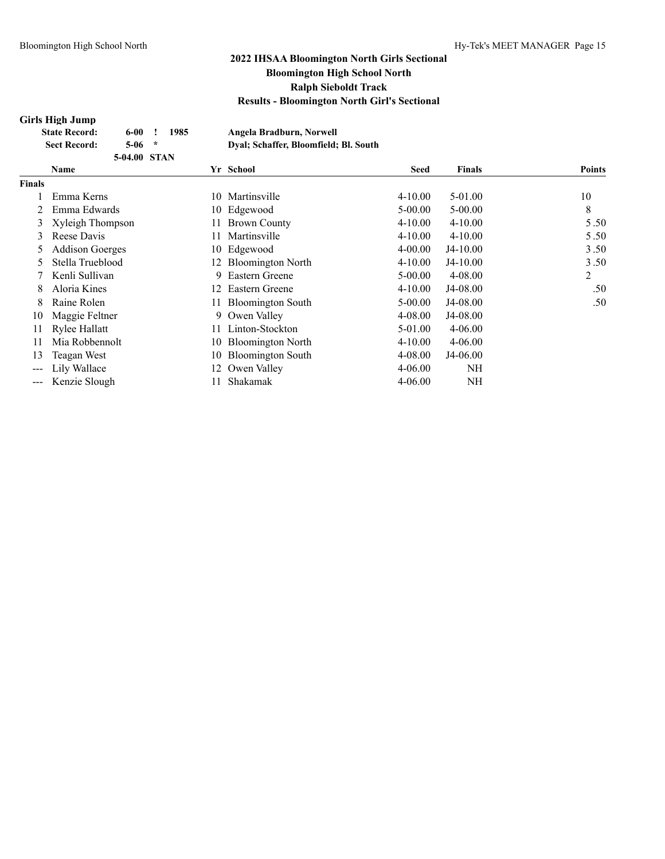### **Girls High Jump**

| <b>State Record:</b> | 6-00-        | 1985 | Angela Bradburn, Norwell              |  |
|----------------------|--------------|------|---------------------------------------|--|
| <b>Sect Record:</b>  | $5-06$ *     |      | Dval; Schaffer, Bloomfield; Bl. South |  |
|                      | 5-04.00 STAN |      |                                       |  |

| Name                   |     |                          | <b>Seed</b>                                                                                                                          | <b>Finals</b> | <b>Points</b> |
|------------------------|-----|--------------------------|--------------------------------------------------------------------------------------------------------------------------------------|---------------|---------------|
|                        |     |                          |                                                                                                                                      |               |               |
| Emma Kerns             | 10  | Martinsville             | $4 - 10.00$                                                                                                                          | 5-01.00       | 10            |
| Emma Edwards           |     |                          | $5 - 00.00$                                                                                                                          | $5 - 00.00$   | 8             |
| Xyleigh Thompson       | 11  | <b>Brown County</b>      | $4 - 10.00$                                                                                                                          | $4 - 10.00$   | 5.50          |
| Reese Davis            | 11  | Martinsville             | $4 - 10.00$                                                                                                                          | $4 - 10.00$   | 5.50          |
| <b>Addison Goerges</b> |     |                          | $4 - 00.00$                                                                                                                          | $J4-10.00$    | 3.50          |
| Stella Trueblood       | 12. | <b>Bloomington North</b> | $4 - 10.00$                                                                                                                          | $J4-10.00$    | 3.50          |
| Kenli Sullivan         | 9   | Eastern Greene           | $5 - 00.00$                                                                                                                          | $4 - 08.00$   | 2             |
| Aloria Kines           |     | Eastern Greene           | $4 - 10.00$                                                                                                                          | J4-08.00      | .50           |
| Raine Rolen            |     |                          | $5 - 00.00$                                                                                                                          | J4-08.00      | .50           |
| Maggie Feltner         | 9   |                          | 4-08.00                                                                                                                              | J4-08.00      |               |
| Rylee Hallatt          |     |                          | 5-01.00                                                                                                                              | $4 - 06.00$   |               |
| Mia Robbennolt         |     |                          | $4 - 10.00$                                                                                                                          | $4 - 06.00$   |               |
| Teagan West            | 10  | <b>Bloomington South</b> | 4-08.00                                                                                                                              | J4-06.00      |               |
| Lily Wallace           | 12  |                          | $4 - 06.00$                                                                                                                          | NH            |               |
| Kenzie Slough          |     | Shakamak                 | $4 - 06.00$                                                                                                                          | NH            |               |
|                        |     |                          | 10 Edgewood<br>10 Edgewood<br>12<br>11 Bloomington South<br>Owen Valley<br>11 Linton-Stockton<br>10 Bloomington North<br>Owen Valley |               | Yr School     |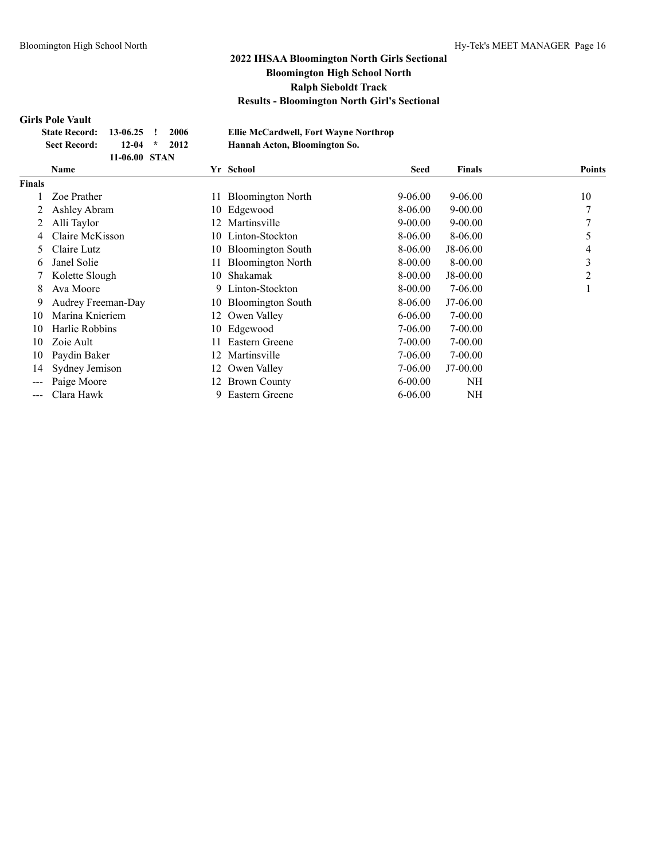#### **Girls Pole Vault**

| State Record: 13-06.25 ! 2006 |                |  |  |
|-------------------------------|----------------|--|--|
| <b>Sect Record:</b>           | $12-04$ * 2012 |  |  |
|                               | 11-06.00 STAN  |  |  |

**State Record: 13-06.25 ! 2006 Ellie McCardwell, Fort Wayne Northrop Sect Record: 12-04 \* 2012 Hannah Acton, Bloomington So.**

|                        | Name               |      | Yr School                | <b>Seed</b> | <b>Finals</b> | <b>Points</b>  |
|------------------------|--------------------|------|--------------------------|-------------|---------------|----------------|
| <b>Finals</b>          |                    |      |                          |             |               |                |
|                        | Zoe Prather        | 11   | <b>Bloomington North</b> | $9 - 06.00$ | $9 - 06.00$   | 10             |
|                        | Ashley Abram       | 10   | Edgewood                 | 8-06.00     | $9 - 00.00$   | $\mathcal{I}$  |
|                        | Alli Taylor        | 12   | Martinsville             | $9 - 00.00$ | $9 - 00.00$   | 7              |
| 4                      | Claire McKisson    |      | 10 Linton-Stockton       | 8-06.00     | 8-06.00       | 5              |
| 5.                     | Claire Lutz        | 10   | <b>Bloomington South</b> | 8-06.00     | J8-06.00      | 4              |
| 6                      | Janel Solie        |      | <b>Bloomington North</b> | 8-00.00     | $8 - 00.00$   | 3              |
|                        | Kolette Slough     | 10   | Shakamak                 | 8-00.00     | $J8-00.00$    | $\overline{2}$ |
| 8                      | Ava Moore          | 9    | Linton-Stockton          | 8-00.00     | 7-06.00       |                |
| 9.                     | Audrey Freeman-Day | 10   | <b>Bloomington South</b> | 8-06.00     | $J7-06.00$    |                |
| 10                     | Marina Knieriem    | 12   | Owen Valley              | $6 - 06.00$ | 7-00.00       |                |
| 10                     | Harlie Robbins     | 10   | Edgewood                 | 7-06.00     | $7 - 00.00$   |                |
| 10                     | Zoie Ault          |      | Eastern Greene           | 7-00.00     | $7 - 00.00$   |                |
| 10                     | Paydin Baker       | 12   | Martinsville             | 7-06.00     | $7 - 00.00$   |                |
| 14                     | Sydney Jemison     |      | 12 Owen Valley           | 7-06.00     | $J7-00.00$    |                |
|                        | Paige Moore        | 12 - | <b>Brown County</b>      | $6 - 00.00$ | NH            |                |
| $\qquad \qquad \cdots$ | Clara Hawk         | 9    | Eastern Greene           | $6 - 06.00$ | NH            |                |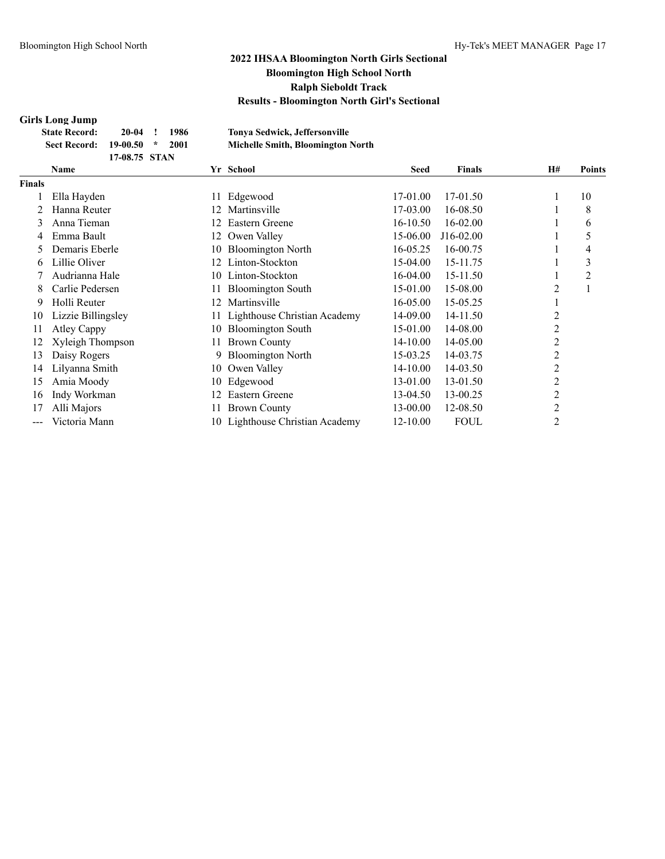### **Girls Long Jump**

| лгая шонд омнар      |               |      |                                          |
|----------------------|---------------|------|------------------------------------------|
| <b>State Record:</b> | 20-04         | 1986 | <b>Tonya Sedwick, Jeffersonville</b>     |
| <b>Sect Record:</b>  | $19-00.50$ *  | 2001 | <b>Michelle Smith, Bloomington North</b> |
|                      | 17-08.75 STAN |      |                                          |

|               | Yr School<br>Name  |     | <b>Seed</b>                     | <b>Finals</b> | H#          | <b>Points</b>  |    |
|---------------|--------------------|-----|---------------------------------|---------------|-------------|----------------|----|
| <b>Finals</b> |                    |     |                                 |               |             |                |    |
|               | Ella Hayden        | 11  | Edgewood                        | 17-01.00      | 17-01.50    |                | 10 |
|               | Hanna Reuter       |     | Martinsville                    | 17-03.00      | 16-08.50    |                | 8  |
| 3             | Anna Tieman        | 12. | Eastern Greene                  | 16-10.50      | 16-02.00    |                | 6  |
| 4             | Emma Bault         | 12  | Owen Valley                     | 15-06.00      | J16-02.00   |                | 5  |
|               | Demaris Eberle     | 10  | <b>Bloomington North</b>        | 16-05.25      | 16-00.75    |                | 4  |
| 6.            | Lillie Oliver      | 12. | Linton-Stockton                 | 15-04.00      | 15-11.75    |                | 3  |
|               | Audrianna Hale     | 10  | Linton-Stockton                 | 16-04.00      | 15-11.50    |                | 2  |
| 8             | Carlie Pedersen    | 11. | <b>Bloomington South</b>        | 15-01.00      | 15-08.00    | $\overline{2}$ |    |
| 9.            | Holli Reuter       | 12. | Martinsville                    | 16-05.00      | 15-05.25    |                |    |
| 10            | Lizzie Billingsley |     | Lighthouse Christian Academy    | 14-09.00      | 14-11.50    | 2              |    |
| 11            | <b>Atley Cappy</b> | 10  | <b>Bloomington South</b>        | 15-01.00      | 14-08.00    | $\overline{c}$ |    |
| 12            | Xyleigh Thompson   | 11  | <b>Brown County</b>             | 14-10.00      | 14-05.00    | 2              |    |
| 13            | Daisy Rogers       |     | <b>Bloomington North</b>        | 15-03.25      | 14-03.75    | 2              |    |
| 14            | Lilyanna Smith     | 10  | Owen Valley                     | 14-10.00      | 14-03.50    | 2              |    |
| 15            | Amia Moody         | 10  | Edgewood                        | 13-01.00      | 13-01.50    | $\overline{c}$ |    |
| 16            | Indy Workman       | 12  | Eastern Greene                  | 13-04.50      | 13-00.25    | $\overline{c}$ |    |
| 17            | Alli Majors        | 11  | <b>Brown County</b>             | 13-00.00      | 12-08.50    | $\overline{2}$ |    |
|               | Victoria Mann      |     | 10 Lighthouse Christian Academy | 12-10.00      | <b>FOUL</b> | $\overline{c}$ |    |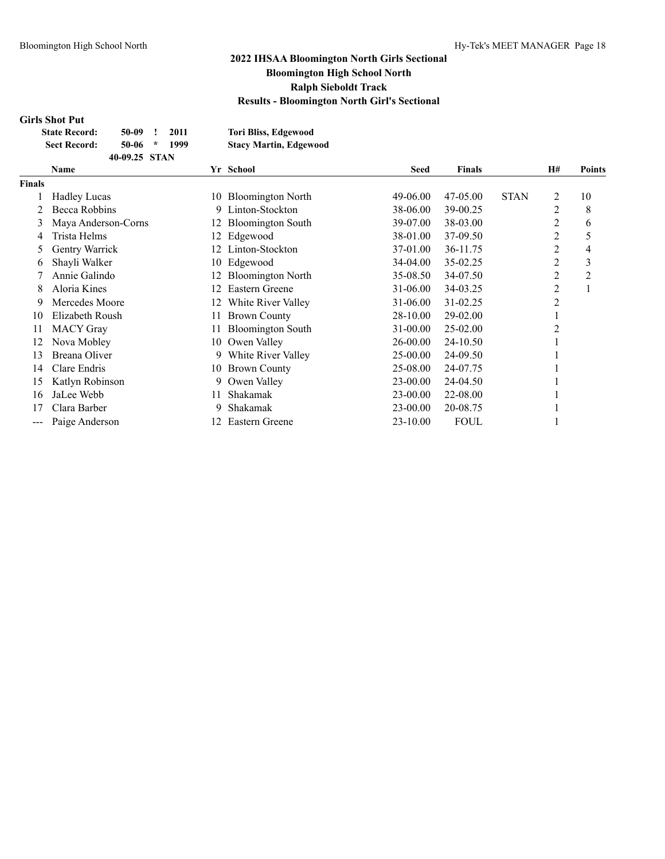### **Girls Shot Put**

| <b>State Record:</b> | 50-09         |         | 2011 | Tori Bliss, Edgewood          |
|----------------------|---------------|---------|------|-------------------------------|
| <b>Sect Record:</b>  | 50-06         | $\star$ | 1999 | <b>Stacy Martin, Edgewood</b> |
|                      | 40-09.25 STAN |         |      |                               |

|               | Name                |     | Yr School                |          | <b>Finals</b> | <b>H#</b>   |                | <b>Points</b>  |  |
|---------------|---------------------|-----|--------------------------|----------|---------------|-------------|----------------|----------------|--|
| <b>Finals</b> |                     |     |                          |          |               |             |                |                |  |
|               | <b>Hadley Lucas</b> |     | 10 Bloomington North     | 49-06.00 | 47-05.00      | <b>STAN</b> | 2              | 10             |  |
|               | Becca Robbins       | 9   | Linton-Stockton          | 38-06.00 | 39-00.25      |             | 2              | 8              |  |
| 3             | Maya Anderson-Corns | 12  | <b>Bloomington South</b> | 39-07.00 | 38-03.00      |             | 2              | 6              |  |
| 4             | Trista Helms        | 12. | Edgewood                 | 38-01.00 | 37-09.50      |             | 2              | 5              |  |
| 5             | Gentry Warrick      |     | Linton-Stockton          | 37-01.00 | 36-11.75      |             | 2              | 4              |  |
| 6             | Shayli Walker       | 10- | Edgewood                 | 34-04.00 | 35-02.25      |             | 2              | 3              |  |
|               | Annie Galindo       | 12  | <b>Bloomington North</b> | 35-08.50 | 34-07.50      |             | 2              | $\overline{c}$ |  |
| 8             | Aloria Kines        | 12. | Eastern Greene           | 31-06.00 | 34-03.25      |             | 2              |                |  |
| 9             | Mercedes Moore      | 12. | White River Valley       | 31-06.00 | 31-02.25      |             | $\overline{2}$ |                |  |
| 10            | Elizabeth Roush     | 11  | <b>Brown County</b>      | 28-10.00 | 29-02.00      |             |                |                |  |
| 11            | <b>MACY</b> Gray    |     | <b>Bloomington South</b> | 31-00.00 | 25-02.00      |             | 2              |                |  |
| 12            | Nova Mobley         | 10  | Owen Valley              | 26-00.00 | 24-10.50      |             |                |                |  |
| 13            | Breana Oliver       | 9   | White River Valley       | 25-00.00 | 24-09.50      |             |                |                |  |
| 14            | Clare Endris        | 10  | <b>Brown County</b>      | 25-08.00 | 24-07.75      |             |                |                |  |
| 15            | Katlyn Robinson     | 9   | Owen Valley              | 23-00.00 | 24-04.50      |             |                |                |  |
| 16            | JaLee Webb          |     | Shakamak                 | 23-00.00 | 22-08.00      |             |                |                |  |
| 17            | Clara Barber        | 9   | Shakamak                 | 23-00.00 | 20-08.75      |             |                |                |  |
| ---           | Paige Anderson      |     | Eastern Greene           | 23-10.00 | <b>FOUL</b>   |             |                |                |  |
|               |                     |     |                          |          |               |             |                |                |  |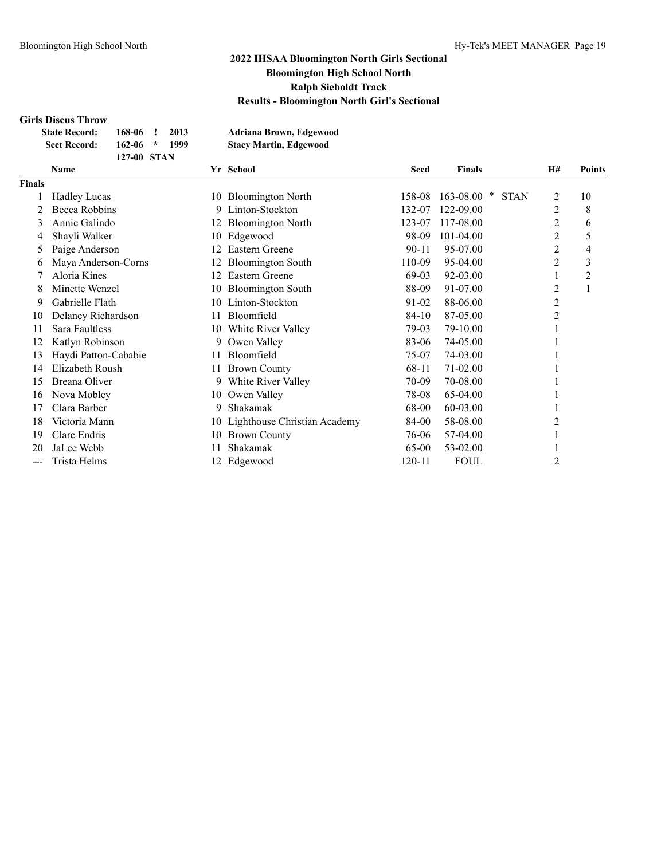### **Girls Discus Throw**

| <b>State Record:</b> | 168-06      | 2013 | Adriana Brown, Edgewood       |
|----------------------|-------------|------|-------------------------------|
| <b>Sect Record:</b>  | $162-06$ *  | 1999 | <b>Stacy Martin, Edgewood</b> |
|                      | 127-00 STAN |      |                               |

| <b>Hadley Lucas</b>  |    |                              |           |                               |   |    |
|----------------------|----|------------------------------|-----------|-------------------------------|---|----|
|                      |    |                              |           |                               |   |    |
|                      | 10 | <b>Bloomington North</b>     | 158-08    | 163-08.00<br>×<br><b>STAN</b> | 2 | 10 |
| Becca Robbins        | 9  | Linton-Stockton              | 132-07    | 122-09.00                     | 2 | 8  |
| Annie Galindo        | 12 | <b>Bloomington North</b>     | 123-07    | 117-08.00                     | 2 | 6  |
| Shayli Walker        | 10 | Edgewood                     | 98-09     | 101-04.00                     | 2 | 5  |
| Paige Anderson       |    | <b>Eastern Greene</b>        | $90 - 11$ | 95-07.00                      | 2 | 4  |
| Maya Anderson-Corns  |    | <b>Bloomington South</b>     | 110-09    | 95-04.00                      | 2 | 3  |
| Aloria Kines         | 12 | Eastern Greene               | 69-03     | 92-03.00                      |   | 2  |
| Minette Wenzel       | 10 | <b>Bloomington South</b>     | 88-09     | 91-07.00                      | 2 |    |
| Gabrielle Flath      | 10 | Linton-Stockton              | 91-02     | 88-06.00                      | 2 |    |
| Delaney Richardson   |    | Bloomfield                   | $84-10$   | 87-05.00                      | 2 |    |
| Sara Faultless       | 10 | White River Valley           | 79-03     | 79-10.00                      |   |    |
| Katlyn Robinson      | 9  | Owen Valley                  | 83-06     | 74-05.00                      |   |    |
| Haydi Patton-Cababie | 11 | Bloomfield                   | 75-07     | 74-03.00                      |   |    |
| Elizabeth Roush      |    | <b>Brown County</b>          | 68-11     | 71-02.00                      |   |    |
| Breana Oliver        | 9. | White River Valley           | 70-09     | 70-08.00                      |   |    |
| Nova Mobley          | 10 | Owen Valley                  | 78-08     | 65-04.00                      |   |    |
| Clara Barber         | 9  | Shakamak                     | 68-00     | 60-03.00                      |   |    |
| Victoria Mann        | 10 | Lighthouse Christian Academy | 84-00     | 58-08.00                      |   |    |
| Clare Endris         | 10 | <b>Brown County</b>          | 76-06     | 57-04.00                      |   |    |
| JaLee Webb           |    | Shakamak                     | 65-00     | 53-02.00                      |   |    |
| Trista Helms         |    | Edgewood                     | 120-11    | <b>FOUL</b>                   | 2 |    |
|                      |    |                              |           |                               |   |    |